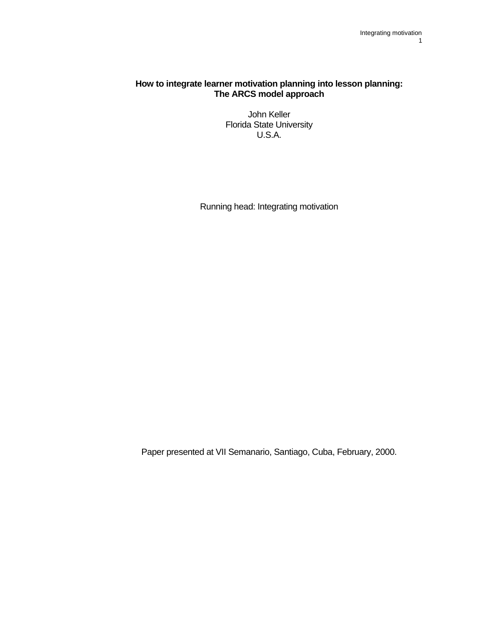## **How to integrate learner motivation planning into lesson planning: The ARCS model approach**

John Keller Florida State University U.S.A.

Running head: Integrating motivation

Paper presented at VII Semanario, Santiago, Cuba, February, 2000.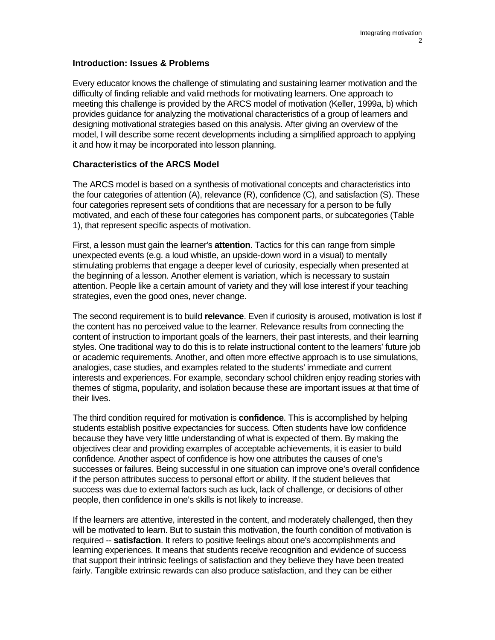### **Introduction: Issues & Problems**

Every educator knows the challenge of stimulating and sustaining learner motivation and the difficulty of finding reliable and valid methods for motivating learners. One approach to meeting this challenge is provided by the ARCS model of motivation (Keller, 1999a, b) which provides guidance for analyzing the motivational characteristics of a group of learners and designing motivational strategies based on this analysis. After giving an overview of the model, I will describe some recent developments including a simplified approach to applying it and how it may be incorporated into lesson planning.

## **Characteristics of the ARCS Model**

The ARCS model is based on a synthesis of motivational concepts and characteristics into the four categories of attention (A), relevance (R), confidence (C), and satisfaction (S). These four categories represent sets of conditions that are necessary for a person to be fully motivated, and each of these four categories has component parts, or subcategories (Table 1), that represent specific aspects of motivation.

First, a lesson must gain the learner's **attention**. Tactics for this can range from simple unexpected events (e.g. a loud whistle, an upside-down word in a visual) to mentally stimulating problems that engage a deeper level of curiosity, especially when presented at the beginning of a lesson. Another element is variation, which is necessary to sustain attention. People like a certain amount of variety and they will lose interest if your teaching strategies, even the good ones, never change.

The second requirement is to build **relevance**. Even if curiosity is aroused, motivation is lost if the content has no perceived value to the learner. Relevance results from connecting the content of instruction to important goals of the learners, their past interests, and their learning styles. One traditional way to do this is to relate instructional content to the learners' future job or academic requirements. Another, and often more effective approach is to use simulations, analogies, case studies, and examples related to the students' immediate and current interests and experiences. For example, secondary school children enjoy reading stories with themes of stigma, popularity, and isolation because these are important issues at that time of their lives.

The third condition required for motivation is **confidence**. This is accomplished by helping students establish positive expectancies for success. Often students have low confidence because they have very little understanding of what is expected of them. By making the objectives clear and providing examples of acceptable achievements, it is easier to build confidence. Another aspect of confidence is how one attributes the causes of one's successes or failures. Being successful in one situation can improve one's overall confidence if the person attributes success to personal effort or ability. If the student believes that success was due to external factors such as luck, lack of challenge, or decisions of other people, then confidence in one's skills is not likely to increase.

If the learners are attentive, interested in the content, and moderately challenged, then they will be motivated to learn. But to sustain this motivation, the fourth condition of motivation is required -- **satisfaction**. It refers to positive feelings about one's accomplishments and learning experiences. It means that students receive recognition and evidence of success that support their intrinsic feelings of satisfaction and they believe they have been treated fairly. Tangible extrinsic rewards can also produce satisfaction, and they can be either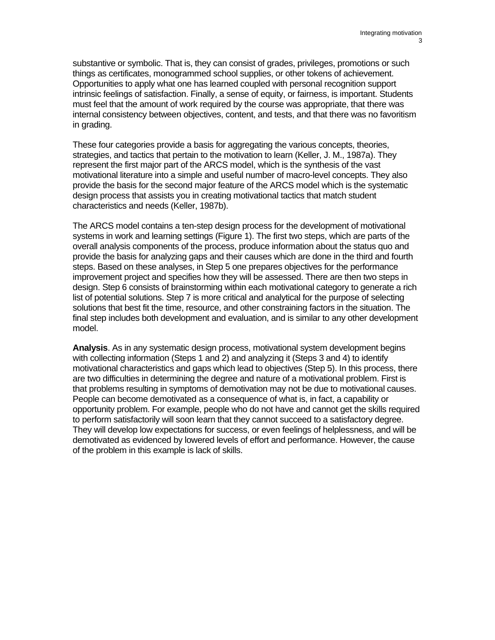substantive or symbolic. That is, they can consist of grades, privileges, promotions or such things as certificates, monogrammed school supplies, or other tokens of achievement. Opportunities to apply what one has learned coupled with personal recognition support intrinsic feelings of satisfaction. Finally, a sense of equity, or fairness, is important. Students must feel that the amount of work required by the course was appropriate, that there was internal consistency between objectives, content, and tests, and that there was no favoritism in grading.

These four categories provide a basis for aggregating the various concepts, theories, strategies, and tactics that pertain to the motivation to learn (Keller, J. M., 1987a). They represent the first major part of the ARCS model, which is the synthesis of the vast motivational literature into a simple and useful number of macro-level concepts. They also provide the basis for the second major feature of the ARCS model which is the systematic design process that assists you in creating motivational tactics that match student characteristics and needs (Keller, 1987b).

The ARCS model contains a ten-step design process for the development of motivational systems in work and learning settings (Figure 1). The first two steps, which are parts of the overall analysis components of the process, produce information about the status quo and provide the basis for analyzing gaps and their causes which are done in the third and fourth steps. Based on these analyses, in Step 5 one prepares objectives for the performance improvement project and specifies how they will be assessed. There are then two steps in design. Step 6 consists of brainstorming within each motivational category to generate a rich list of potential solutions. Step 7 is more critical and analytical for the purpose of selecting solutions that best fit the time, resource, and other constraining factors in the situation. The final step includes both development and evaluation, and is similar to any other development model.

**Analysis**. As in any systematic design process, motivational system development begins with collecting information (Steps 1 and 2) and analyzing it (Steps 3 and 4) to identify motivational characteristics and gaps which lead to objectives (Step 5). In this process, there are two difficulties in determining the degree and nature of a motivational problem. First is that problems resulting in symptoms of demotivation may not be due to motivational causes. People can become demotivated as a consequence of what is, in fact, a capability or opportunity problem. For example, people who do not have and cannot get the skills required to perform satisfactorily will soon learn that they cannot succeed to a satisfactory degree. They will develop low expectations for success, or even feelings of helplessness, and will be demotivated as evidenced by lowered levels of effort and performance. However, the cause of the problem in this example is lack of skills.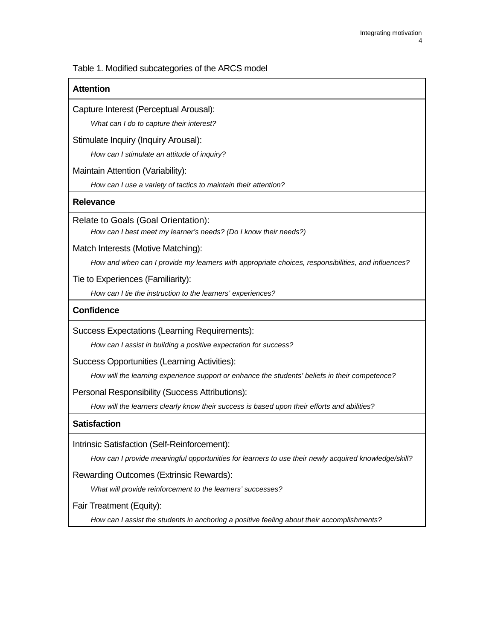### Table 1. Modified subcategories of the ARCS model

### **Attention**

Capture Interest (Perceptual Arousal):

*What can I do to capture their interest?* 

Stimulate Inquiry (Inquiry Arousal):

*How can I stimulate an attitude of inquiry?* 

Maintain Attention (Variability):

*How can I use a variety of tactics to maintain their attention?* 

## **Relevance**

Relate to Goals (Goal Orientation):

*How can I best meet my learner's needs? (Do I know their needs?)* 

Match Interests (Motive Matching):

*How and when can I provide my learners with appropriate choices, responsibilities, and influences?* 

Tie to Experiences (Familiarity):

*How can I tie the instruction to the learners' experiences?* 

## **Confidence**

Success Expectations (Learning Requirements):

*How can I assist in building a positive expectation for success?* 

Success Opportunities (Learning Activities):

*How will the learning experience support or enhance the students' beliefs in their competence?* 

Personal Responsibility (Success Attributions):

*How will the learners clearly know their success is based upon their efforts and abilities?* 

## **Satisfaction**

Intrinsic Satisfaction (Self-Reinforcement):

*How can I provide meaningful opportunities for learners to use their newly acquired knowledge/skill?* 

Rewarding Outcomes (Extrinsic Rewards):

*What will provide reinforcement to the learners' successes?* 

Fair Treatment (Equity):

*How can I assist the students in anchoring a positive feeling about their accomplishments?*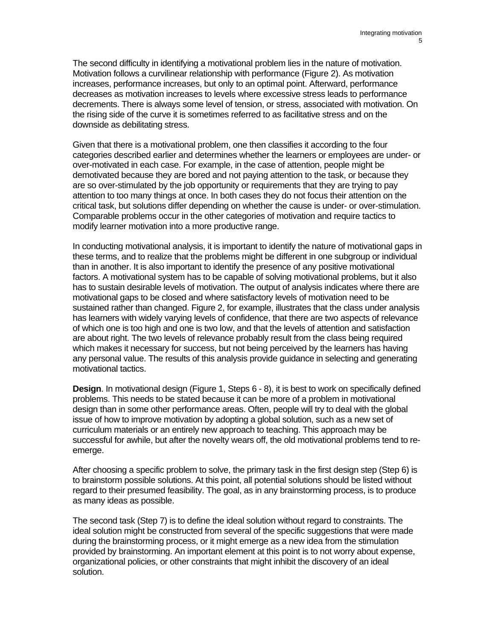The second difficulty in identifying a motivational problem lies in the nature of motivation. Motivation follows a curvilinear relationship with performance (Figure 2). As motivation increases, performance increases, but only to an optimal point. Afterward, performance decreases as motivation increases to levels where excessive stress leads to performance decrements. There is always some level of tension, or stress, associated with motivation. On the rising side of the curve it is sometimes referred to as facilitative stress and on the downside as debilitating stress.

Given that there is a motivational problem, one then classifies it according to the four categories described earlier and determines whether the learners or employees are under- or over-motivated in each case. For example, in the case of attention, people might be demotivated because they are bored and not paying attention to the task, or because they are so over-stimulated by the job opportunity or requirements that they are trying to pay attention to too many things at once. In both cases they do not focus their attention on the critical task, but solutions differ depending on whether the cause is under- or over-stimulation. Comparable problems occur in the other categories of motivation and require tactics to modify learner motivation into a more productive range.

In conducting motivational analysis, it is important to identify the nature of motivational gaps in these terms, and to realize that the problems might be different in one subgroup or individual than in another. It is also important to identify the presence of any positive motivational factors. A motivational system has to be capable of solving motivational problems, but it also has to sustain desirable levels of motivation. The output of analysis indicates where there are motivational gaps to be closed and where satisfactory levels of motivation need to be sustained rather than changed. Figure 2, for example, illustrates that the class under analysis has learners with widely varying levels of confidence, that there are two aspects of relevance of which one is too high and one is two low, and that the levels of attention and satisfaction are about right. The two levels of relevance probably result from the class being required which makes it necessary for success, but not being perceived by the learners has having any personal value. The results of this analysis provide guidance in selecting and generating motivational tactics.

**Design**. In motivational design (Figure 1, Steps 6 - 8), it is best to work on specifically defined problems. This needs to be stated because it can be more of a problem in motivational design than in some other performance areas. Often, people will try to deal with the global issue of how to improve motivation by adopting a global solution, such as a new set of curriculum materials or an entirely new approach to teaching. This approach may be successful for awhile, but after the novelty wears off, the old motivational problems tend to reemerge.

After choosing a specific problem to solve, the primary task in the first design step (Step 6) is to brainstorm possible solutions. At this point, all potential solutions should be listed without regard to their presumed feasibility. The goal, as in any brainstorming process, is to produce as many ideas as possible.

The second task (Step 7) is to define the ideal solution without regard to constraints. The ideal solution might be constructed from several of the specific suggestions that were made during the brainstorming process, or it might emerge as a new idea from the stimulation provided by brainstorming. An important element at this point is to not worry about expense, organizational policies, or other constraints that might inhibit the discovery of an ideal solution.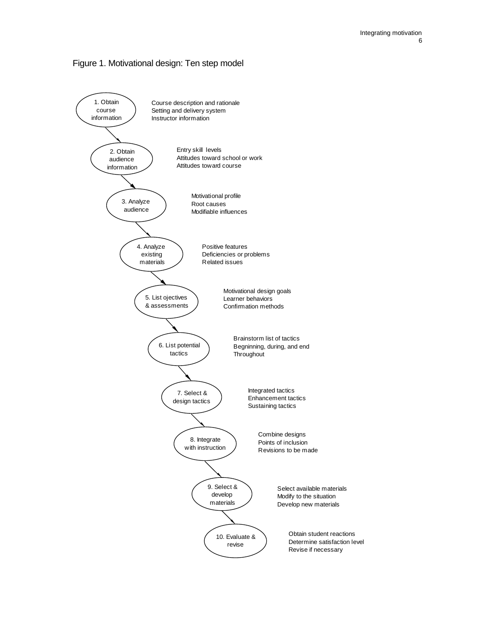

#### Figure 1. Motivational design: Ten step model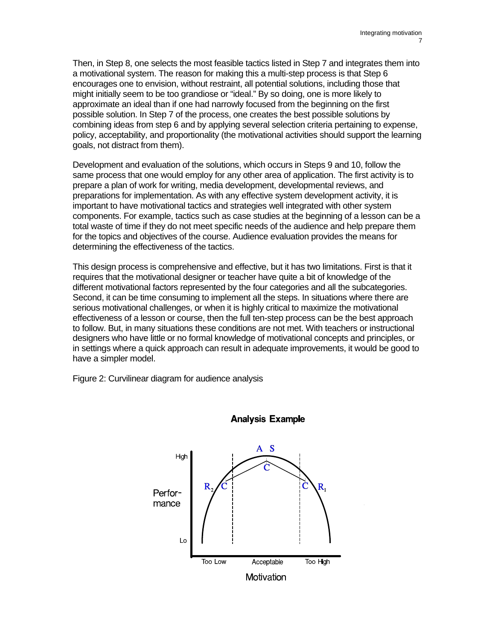Then, in Step 8, one selects the most feasible tactics listed in Step 7 and integrates them into a motivational system. The reason for making this a multi-step process is that Step 6 encourages one to envision, without restraint, all potential solutions, including those that might initially seem to be too grandiose or "ideal." By so doing, one is more likely to approximate an ideal than if one had narrowly focused from the beginning on the first possible solution. In Step 7 of the process, one creates the best possible solutions by combining ideas from step 6 and by applying several selection criteria pertaining to expense, policy, acceptability, and proportionality (the motivational activities should support the learning goals, not distract from them).

Development and evaluation of the solutions, which occurs in Steps 9 and 10, follow the same process that one would employ for any other area of application. The first activity is to prepare a plan of work for writing, media development, developmental reviews, and preparations for implementation. As with any effective system development activity, it is important to have motivational tactics and strategies well integrated with other system components. For example, tactics such as case studies at the beginning of a lesson can be a total waste of time if they do not meet specific needs of the audience and help prepare them for the topics and objectives of the course. Audience evaluation provides the means for determining the effectiveness of the tactics.

This design process is comprehensive and effective, but it has two limitations. First is that it requires that the motivational designer or teacher have quite a bit of knowledge of the different motivational factors represented by the four categories and all the subcategories. Second, it can be time consuming to implement all the steps. In situations where there are serious motivational challenges, or when it is highly critical to maximize the motivational effectiveness of a lesson or course, then the full ten-step process can be the best approach to follow. But, in many situations these conditions are not met. With teachers or instructional designers who have little or no formal knowledge of motivational concepts and principles, or in settings where a quick approach can result in adequate improvements, it would be good to have a simpler model.

Figure 2: Curvilinear diagram for audience analysis



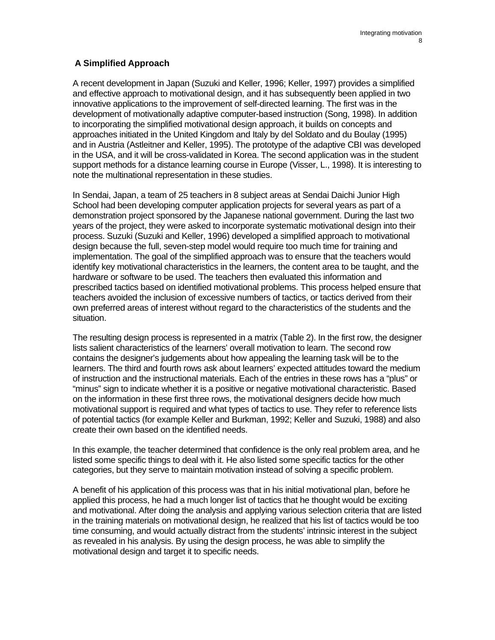## **A Simplified Approach**

A recent development in Japan (Suzuki and Keller, 1996; Keller, 1997) provides a simplified and effective approach to motivational design, and it has subsequently been applied in two innovative applications to the improvement of self-directed learning. The first was in the development of motivationally adaptive computer-based instruction (Song, 1998). In addition to incorporating the simplified motivational design approach, it builds on concepts and approaches initiated in the United Kingdom and Italy by del Soldato and du Boulay (1995) and in Austria (Astleitner and Keller, 1995). The prototype of the adaptive CBI was developed in the USA, and it will be cross-validated in Korea. The second application was in the student support methods for a distance learning course in Europe (Visser, L., 1998). It is interesting to note the multinational representation in these studies.

In Sendai, Japan, a team of 25 teachers in 8 subject areas at Sendai Daichi Junior High School had been developing computer application projects for several years as part of a demonstration project sponsored by the Japanese national government. During the last two years of the project, they were asked to incorporate systematic motivational design into their process. Suzuki (Suzuki and Keller, 1996) developed a simplified approach to motivational design because the full, seven-step model would require too much time for training and implementation. The goal of the simplified approach was to ensure that the teachers would identify key motivational characteristics in the learners, the content area to be taught, and the hardware or software to be used. The teachers then evaluated this information and prescribed tactics based on identified motivational problems. This process helped ensure that teachers avoided the inclusion of excessive numbers of tactics, or tactics derived from their own preferred areas of interest without regard to the characteristics of the students and the situation.

The resulting design process is represented in a matrix (Table 2). In the first row, the designer lists salient characteristics of the learners' overall motivation to learn. The second row contains the designer's judgements about how appealing the learning task will be to the learners. The third and fourth rows ask about learners' expected attitudes toward the medium of instruction and the instructional materials. Each of the entries in these rows has a "plus" or "minus" sign to indicate whether it is a positive or negative motivational characteristic. Based on the information in these first three rows, the motivational designers decide how much motivational support is required and what types of tactics to use. They refer to reference lists of potential tactics (for example Keller and Burkman, 1992; Keller and Suzuki, 1988) and also create their own based on the identified needs.

In this example, the teacher determined that confidence is the only real problem area, and he listed some specific things to deal with it. He also listed some specific tactics for the other categories, but they serve to maintain motivation instead of solving a specific problem.

A benefit of his application of this process was that in his initial motivational plan, before he applied this process, he had a much longer list of tactics that he thought would be exciting and motivational. After doing the analysis and applying various selection criteria that are listed in the training materials on motivational design, he realized that his list of tactics would be too time consuming, and would actually distract from the students' intrinsic interest in the subject as revealed in his analysis. By using the design process, he was able to simplify the motivational design and target it to specific needs.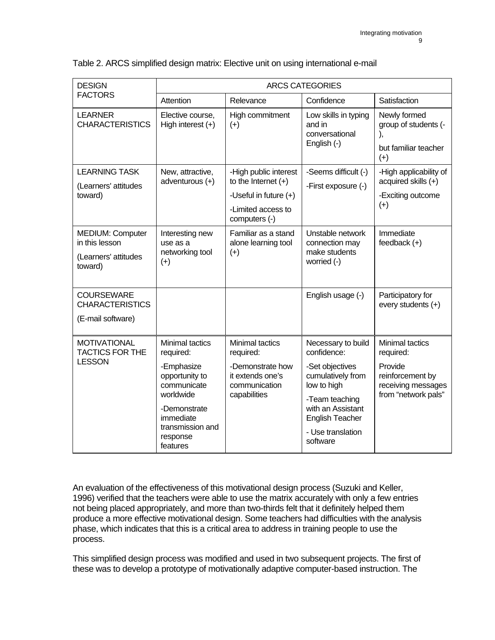| <b>DESIGN</b>                                                                | <b>ARCS CATEGORIES</b>                                                                                                                                            |                                                                                                                |                                                                                                                                                                                     |                                                                                                          |  |
|------------------------------------------------------------------------------|-------------------------------------------------------------------------------------------------------------------------------------------------------------------|----------------------------------------------------------------------------------------------------------------|-------------------------------------------------------------------------------------------------------------------------------------------------------------------------------------|----------------------------------------------------------------------------------------------------------|--|
| <b>FACTORS</b>                                                               | Attention                                                                                                                                                         | Confidence<br>Relevance                                                                                        |                                                                                                                                                                                     | Satisfaction                                                                                             |  |
| <b>LEARNER</b><br><b>CHARACTERISTICS</b>                                     | Elective course,<br>High interest $(+)$                                                                                                                           | High commitment<br>$(+)$                                                                                       | Low skills in typing<br>and in<br>conversational<br>English (-)                                                                                                                     | Newly formed<br>group of students (-<br>but familiar teacher<br>$(+)$                                    |  |
| <b>LEARNING TASK</b><br>(Learners' attitudes<br>toward)                      | New, attractive,<br>$adventurous (+)$                                                                                                                             | -High public interest<br>to the Internet $(+)$<br>-Useful in future (+)<br>-Limited access to<br>computers (-) | -Seems difficult (-)<br>-First exposure (-)                                                                                                                                         | -High applicability of<br>acquired skills $(+)$<br>-Exciting outcome<br>$(+)$                            |  |
| <b>MEDIUM: Computer</b><br>in this lesson<br>(Learners' attitudes<br>toward) | Interesting new<br>use as a<br>networking tool<br>$(+)$                                                                                                           | Familiar as a stand<br>alone learning tool<br>$(+)$                                                            | Unstable network<br>connection may<br>make students<br>worried (-)                                                                                                                  | Immediate<br>feedback $(+)$                                                                              |  |
| <b>COURSEWARE</b><br><b>CHARACTERISTICS</b><br>(E-mail software)             |                                                                                                                                                                   |                                                                                                                | English usage (-)                                                                                                                                                                   | Participatory for<br>every students (+)                                                                  |  |
| <b>MOTIVATIONAL</b><br><b>TACTICS FOR THE</b><br><b>LESSON</b>               | Minimal tactics<br>required:<br>-Emphasize<br>opportunity to<br>communicate<br>worldwide<br>-Demonstrate<br>immediate<br>transmission and<br>response<br>features | Minimal tactics<br>required:<br>-Demonstrate how<br>it extends one's<br>communication<br>capabilities          | Necessary to build<br>confidence:<br>-Set objectives<br>cumulatively from<br>low to high<br>-Team teaching<br>with an Assistant<br>English Teacher<br>- Use translation<br>software | Minimal tactics<br>required:<br>Provide<br>reinforcement by<br>receiving messages<br>from "network pals" |  |

Table 2. ARCS simplified design matrix: Elective unit on using international e-mail

An evaluation of the effectiveness of this motivational design process (Suzuki and Keller, 1996) verified that the teachers were able to use the matrix accurately with only a few entries not being placed appropriately, and more than two-thirds felt that it definitely helped them produce a more effective motivational design. Some teachers had difficulties with the analysis phase, which indicates that this is a critical area to address in training people to use the process.

This simplified design process was modified and used in two subsequent projects. The first of these was to develop a prototype of motivationally adaptive computer-based instruction. The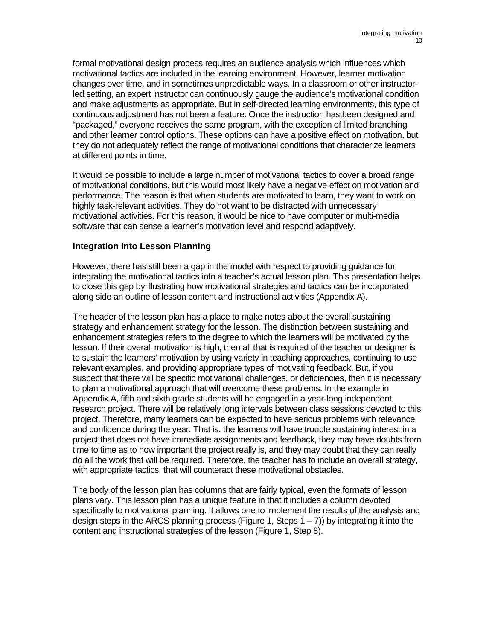formal motivational design process requires an audience analysis which influences which motivational tactics are included in the learning environment. However, learner motivation changes over time, and in sometimes unpredictable ways. In a classroom or other instructorled setting, an expert instructor can continuously gauge the audience's motivational condition and make adjustments as appropriate. But in self-directed learning environments, this type of continuous adjustment has not been a feature. Once the instruction has been designed and "packaged," everyone receives the same program, with the exception of limited branching and other learner control options. These options can have a positive effect on motivation, but they do not adequately reflect the range of motivational conditions that characterize learners at different points in time.

It would be possible to include a large number of motivational tactics to cover a broad range of motivational conditions, but this would most likely have a negative effect on motivation and performance. The reason is that when students are motivated to learn, they want to work on highly task-relevant activities. They do not want to be distracted with unnecessary motivational activities. For this reason, it would be nice to have computer or multi-media software that can sense a learner's motivation level and respond adaptively.

## **Integration into Lesson Planning**

However, there has still been a gap in the model with respect to providing guidance for integrating the motivational tactics into a teacher's actual lesson plan. This presentation helps to close this gap by illustrating how motivational strategies and tactics can be incorporated along side an outline of lesson content and instructional activities (Appendix A).

The header of the lesson plan has a place to make notes about the overall sustaining strategy and enhancement strategy for the lesson. The distinction between sustaining and enhancement strategies refers to the degree to which the learners will be motivated by the lesson. If their overall motivation is high, then all that is required of the teacher or designer is to sustain the learners' motivation by using variety in teaching approaches, continuing to use relevant examples, and providing appropriate types of motivating feedback. But, if you suspect that there will be specific motivational challenges, or deficiencies, then it is necessary to plan a motivational approach that will overcome these problems. In the example in Appendix A, fifth and sixth grade students will be engaged in a year-long independent research project. There will be relatively long intervals between class sessions devoted to this project. Therefore, many learners can be expected to have serious problems with relevance and confidence during the year. That is, the learners will have trouble sustaining interest in a project that does not have immediate assignments and feedback, they may have doubts from time to time as to how important the project really is, and they may doubt that they can really do all the work that will be required. Therefore, the teacher has to include an overall strategy, with appropriate tactics, that will counteract these motivational obstacles.

The body of the lesson plan has columns that are fairly typical, even the formats of lesson plans vary. This lesson plan has a unique feature in that it includes a column devoted specifically to motivational planning. It allows one to implement the results of the analysis and design steps in the ARCS planning process (Figure 1, Steps  $1 - 7$ ) by integrating it into the content and instructional strategies of the lesson (Figure 1, Step 8).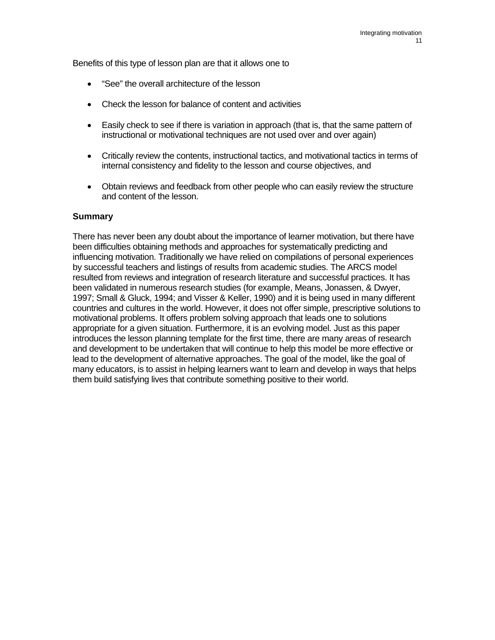Benefits of this type of lesson plan are that it allows one to

- "See" the overall architecture of the lesson
- Check the lesson for balance of content and activities
- Easily check to see if there is variation in approach (that is, that the same pattern of instructional or motivational techniques are not used over and over again)
- Critically review the contents, instructional tactics, and motivational tactics in terms of internal consistency and fidelity to the lesson and course objectives, and
- Obtain reviews and feedback from other people who can easily review the structure and content of the lesson.

#### **Summary**

There has never been any doubt about the importance of learner motivation, but there have been difficulties obtaining methods and approaches for systematically predicting and influencing motivation. Traditionally we have relied on compilations of personal experiences by successful teachers and listings of results from academic studies. The ARCS model resulted from reviews and integration of research literature and successful practices. It has been validated in numerous research studies (for example, Means, Jonassen, & Dwyer, 1997; Small & Gluck, 1994; and Visser & Keller, 1990) and it is being used in many different countries and cultures in the world. However, it does not offer simple, prescriptive solutions to motivational problems. It offers problem solving approach that leads one to solutions appropriate for a given situation. Furthermore, it is an evolving model. Just as this paper introduces the lesson planning template for the first time, there are many areas of research and development to be undertaken that will continue to help this model be more effective or lead to the development of alternative approaches. The goal of the model, like the goal of many educators, is to assist in helping learners want to learn and develop in ways that helps them build satisfying lives that contribute something positive to their world.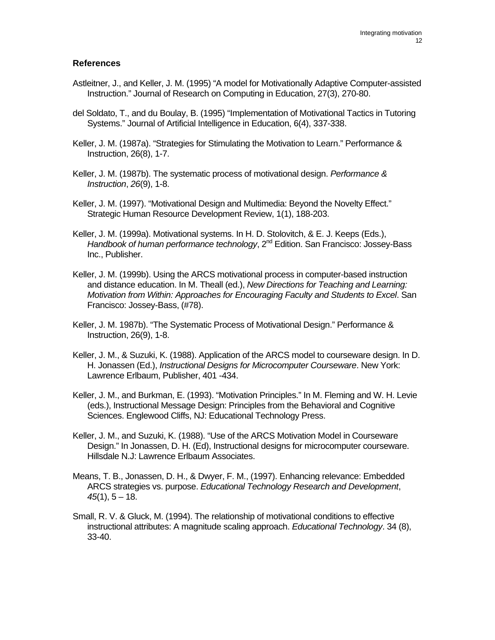### **References**

- Astleitner, J., and Keller, J. M. (1995) "A model for Motivationally Adaptive Computer-assisted Instruction." Journal of Research on Computing in Education, 27(3), 270-80.
- del Soldato, T., and du Boulay, B. (1995) "Implementation of Motivational Tactics in Tutoring Systems." Journal of Artificial Intelligence in Education, 6(4), 337-338.
- Keller, J. M. (1987a). "Strategies for Stimulating the Motivation to Learn." Performance & Instruction, 26(8), 1-7.
- Keller, J. M. (1987b). The systematic process of motivational design. *Performance & Instruction*, *26*(9), 1-8.
- Keller, J. M. (1997). "Motivational Design and Multimedia: Beyond the Novelty Effect." Strategic Human Resource Development Review, 1(1), 188-203.
- Keller, J. M. (1999a). Motivational systems. In H. D. Stolovitch, & E. J. Keeps (Eds.), *Handbook of human performance technology*, 2<sup>nd</sup> Edition. San Francisco: Jossey-Bass Inc., Publisher.
- Keller, J. M. (1999b). Using the ARCS motivational process in computer-based instruction and distance education. In M. Theall (ed.), *New Directions for Teaching and Learning: Motivation from Within: Approaches for Encouraging Faculty and Students to Excel*. San Francisco: Jossey-Bass, (#78).
- Keller, J. M. 1987b). "The Systematic Process of Motivational Design." Performance & Instruction, 26(9), 1-8.
- Keller, J. M., & Suzuki, K. (1988). Application of the ARCS model to courseware design. In D. H. Jonassen (Ed.), *Instructional Designs for Microcomputer Courseware*. New York: Lawrence Erlbaum, Publisher, 401 -434.
- Keller, J. M., and Burkman, E. (1993). "Motivation Principles." In M. Fleming and W. H. Levie (eds.), Instructional Message Design: Principles from the Behavioral and Cognitive Sciences. Englewood Cliffs, NJ: Educational Technology Press.
- Keller, J. M., and Suzuki, K. (1988). "Use of the ARCS Motivation Model in Courseware Design." In Jonassen, D. H. (Ed), Instructional designs for microcomputer courseware. Hillsdale N.J: Lawrence Erlbaum Associates.
- Means, T. B., Jonassen, D. H., & Dwyer, F. M., (1997). Enhancing relevance: Embedded ARCS strategies vs. purpose. *Educational Technology Research and Development*, *45*(1), 5 – 18.
- Small, R. V. & Gluck, M. (1994). The relationship of motivational conditions to effective instructional attributes: A magnitude scaling approach. *Educational Technology*. 34 (8), 33-40.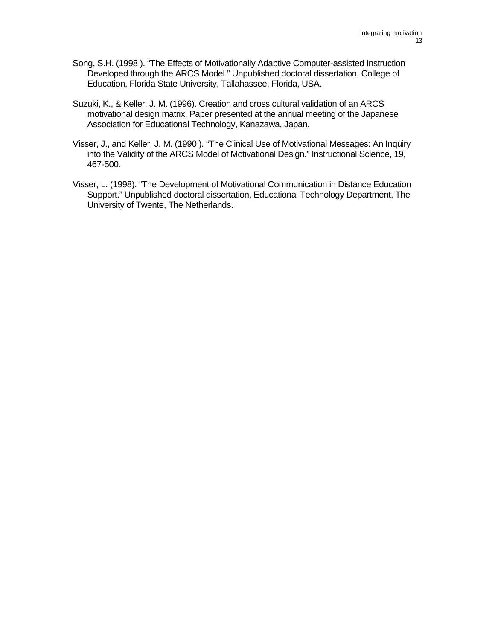- Song, S.H. (1998 ). "The Effects of Motivationally Adaptive Computer-assisted Instruction Developed through the ARCS Model." Unpublished doctoral dissertation, College of Education, Florida State University, Tallahassee, Florida, USA.
- Suzuki, K., & Keller, J. M. (1996). Creation and cross cultural validation of an ARCS motivational design matrix. Paper presented at the annual meeting of the Japanese Association for Educational Technology, Kanazawa, Japan.
- Visser, J., and Keller, J. M. (1990 ). "The Clinical Use of Motivational Messages: An Inquiry into the Validity of the ARCS Model of Motivational Design." Instructional Science, 19, 467-500.
- Visser, L. (1998). "The Development of Motivational Communication in Distance Education Support." Unpublished doctoral dissertation, Educational Technology Department, The University of Twente, The Netherlands.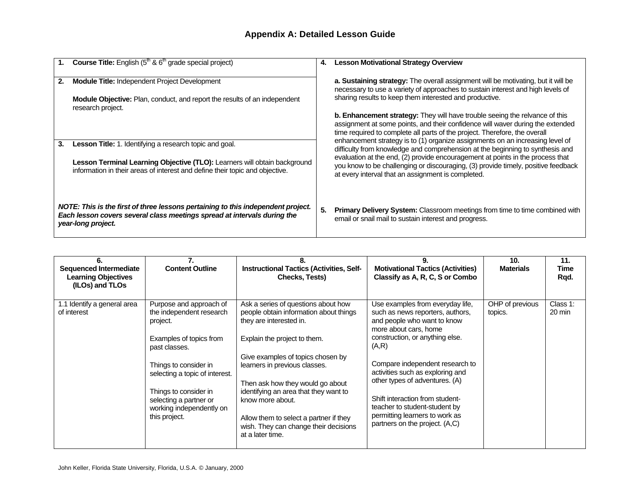# **Appendix A: Detailed Lesson Guide**

|    | <b>Course Title:</b> English ( $5^{\circ}$ & $6^{\circ}$ grade special project)                                                                                                    | 4. | <b>Lesson Motivational Strategy Overview</b>                                                                                                                                                                                                |
|----|------------------------------------------------------------------------------------------------------------------------------------------------------------------------------------|----|---------------------------------------------------------------------------------------------------------------------------------------------------------------------------------------------------------------------------------------------|
|    |                                                                                                                                                                                    |    |                                                                                                                                                                                                                                             |
| 2. | Module Title: Independent Project Development                                                                                                                                      |    | a. Sustaining strategy: The overall assignment will be motivating, but it will be<br>necessary to use a variety of approaches to sustain interest and high levels of                                                                        |
|    | <b>Module Objective:</b> Plan, conduct, and report the results of an independent<br>research project.                                                                              |    | sharing results to keep them interested and productive.                                                                                                                                                                                     |
|    |                                                                                                                                                                                    |    | b. Enhancement strategy: They will have trouble seeing the relvance of this<br>assignment at some points, and their confidence will waver during the extended<br>time required to complete all parts of the project. Therefore, the overall |
| З. | Lesson Title: 1. Identifying a research topic and goal.                                                                                                                            |    | enhancement strategy is to (1) organize assignments on an increasing level of<br>difficulty from knowledge and comprehension at the beginning to synthesis and                                                                              |
|    | Lesson Terminal Learning Objective (TLO): Learners will obtain background<br>information in their areas of interest and define their topic and objective.                          |    | evaluation at the end, (2) provide encouragement at points in the process that<br>you know to be challenging or discouraging, (3) provide timely, positive feedback<br>at every interval that an assignment is completed.                   |
|    | NOTE: This is the first of three lessons pertaining to this independent project.<br>Each lesson covers several class meetings spread at intervals during the<br>year-long project. | 5. | <b>Primary Delivery System:</b> Classroom meetings from time to time combined with<br>email or snail mail to sustain interest and progress.                                                                                                 |

| Sequenced Intermediate<br><b>Learning Objectives</b><br>(ILOs) and TLOs | <b>Content Outline</b>                                                                                                                                                                                                                                                 | <b>Instructional Tactics (Activities, Self-</b><br>Checks, Tests)                                                                                                                                                                                                                                                                                                                                                      | 9.<br><b>Motivational Tactics (Activities)</b><br>Classify as A, R, C, S or Combo                                                                                                                                                                                                                                                                                                                                         | 10.<br><b>Materials</b>    | 11.<br>Time<br>Rqd. |
|-------------------------------------------------------------------------|------------------------------------------------------------------------------------------------------------------------------------------------------------------------------------------------------------------------------------------------------------------------|------------------------------------------------------------------------------------------------------------------------------------------------------------------------------------------------------------------------------------------------------------------------------------------------------------------------------------------------------------------------------------------------------------------------|---------------------------------------------------------------------------------------------------------------------------------------------------------------------------------------------------------------------------------------------------------------------------------------------------------------------------------------------------------------------------------------------------------------------------|----------------------------|---------------------|
| 1.1 Identify a general area<br>of interest                              | Purpose and approach of<br>the independent research<br>project.<br>Examples of topics from<br>past classes.<br>Things to consider in<br>selecting a topic of interest.<br>Things to consider in<br>selecting a partner or<br>working independently on<br>this project. | Ask a series of questions about how<br>people obtain information about things<br>they are interested in.<br>Explain the project to them.<br>Give examples of topics chosen by<br>learners in previous classes.<br>Then ask how they would go about<br>identifying an area that they want to<br>know more about.<br>Allow them to select a partner if they<br>wish. They can change their decisions<br>at a later time. | Use examples from everyday life,<br>such as news reporters, authors,<br>and people who want to know<br>more about cars, home<br>construction, or anything else.<br>(A,R)<br>Compare independent research to<br>activities such as exploring and<br>other types of adventures. (A)<br>Shift interaction from student-<br>teacher to student-student by<br>permitting learners to work as<br>partners on the project. (A,C) | OHP of previous<br>topics. | Class 1:<br>20 min  |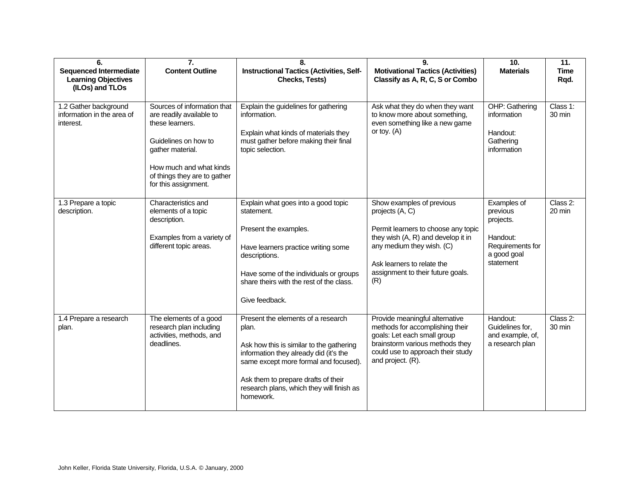| 6.<br><b>Sequenced Intermediate</b><br><b>Learning Objectives</b><br>(ILOs) and TLOs | 7.<br><b>Content Outline</b>                                                                                                                                                                              | 8.<br><b>Instructional Tactics (Activities, Self-</b><br><b>Checks, Tests)</b>                                                                                                                                                                                              | 9.<br><b>Motivational Tactics (Activities)</b><br>Classify as A, R, C, S or Combo                                                                                                                                                | 10.<br><b>Materials</b>                                                                          | $\overline{11}$ .<br><b>Time</b><br>Rqd. |
|--------------------------------------------------------------------------------------|-----------------------------------------------------------------------------------------------------------------------------------------------------------------------------------------------------------|-----------------------------------------------------------------------------------------------------------------------------------------------------------------------------------------------------------------------------------------------------------------------------|----------------------------------------------------------------------------------------------------------------------------------------------------------------------------------------------------------------------------------|--------------------------------------------------------------------------------------------------|------------------------------------------|
| 1.2 Gather background<br>information in the area of<br>interest.                     | Sources of information that<br>are readily available to<br>these learners.<br>Guidelines on how to<br>gather material.<br>How much and what kinds<br>of things they are to gather<br>for this assignment. | Explain the guidelines for gathering<br>information.<br>Explain what kinds of materials they<br>must gather before making their final<br>topic selection.                                                                                                                   | Ask what they do when they want<br>to know more about something,<br>even something like a new game<br>or toy. (A)                                                                                                                | OHP: Gathering<br>information<br>Handout:<br>Gathering<br>information                            | Class 1:<br>30 min                       |
| 1.3 Prepare a topic<br>description.                                                  | Characteristics and<br>elements of a topic<br>description.<br>Examples from a variety of<br>different topic areas.                                                                                        | Explain what goes into a good topic<br>statement.<br>Present the examples.<br>Have learners practice writing some<br>descriptions.<br>Have some of the individuals or groups<br>share theirs with the rest of the class.<br>Give feedback.                                  | Show examples of previous<br>projects (A, C)<br>Permit learners to choose any topic<br>they wish (A, R) and develop it in<br>any medium they wish. (C)<br>Ask learners to relate the<br>assignment to their future goals.<br>(R) | Examples of<br>previous<br>projects.<br>Handout:<br>Requirements for<br>a good goal<br>statement | Class 2:<br>20 min                       |
| 1.4 Prepare a research<br>plan.                                                      | The elements of a good<br>research plan including<br>activities, methods, and<br>deadlines.                                                                                                               | Present the elements of a research<br>plan.<br>Ask how this is similar to the gathering<br>information they already did (it's the<br>same except more formal and focused).<br>Ask them to prepare drafts of their<br>research plans, which they will finish as<br>homework. | Provide meaningful alternative<br>methods for accomplishing their<br>goals: Let each small group<br>brainstorm various methods they<br>could use to approach their study<br>and project. (R).                                    | Handout:<br>Guidelines for,<br>and example, of,<br>a research plan                               | Class 2:<br>30 min                       |